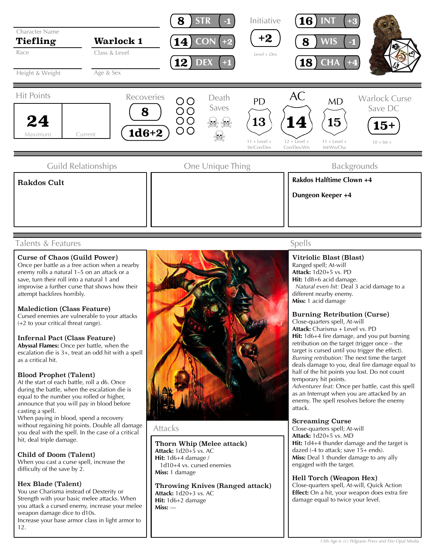

# Talents & Features

# Curse of Chaos (Guild Power)

Once per battle as a free action when a nearby enemy rolls a natural 1–5 on an attack or a save, turn their roll into a natural 1 and improvise a further curse that shows how their attempt backfires horribly.

## Malediction (Class Feature)

Cursed enemies are vulnerable to your attacks (+2 to your critical threat range).

#### Infernal Pact (Class Feature)

**Abyssal Flames:** Once per battle, when the escalation die is 3+, treat an odd hit with a spell as a critical hit.

## Blood Prophet (Talent)

At the start of each battle, roll a d6. Once during the battle, when the escalation die is equal to the number you rolled or higher, announce that you will pay in blood before casting a spell.

When paying in blood, spend a recovery without regaining hit points. Double all damage you deal with the spell. In the case of a critical hit, deal triple damage.

Child of Doom (Talent) When you cast a curse spell, increase the difficulty of the save by 2.

## Hex Blade (Talent)

You use Charisma instead of Dexterity or Strength with your basic melee attacks. When you attack a cursed enemy, increase your melee weapon damage dice to d10s. Increase your base armor class in light armor to 12.



# Attacks

#### Thorn Whip (Melee attack)

**Attack:** 1d20+5 vs. AC **Hit:** 1d6+4 damage / 1d10+4 vs. cursed enemies **Miss:** 1 damage

Throwing Knives (Ranged attack) **Attack:** 1d20+3 vs. AC **Hit:** 1d6+2 damage **Miss:** —

# Spells

#### Vitriolic Blast (Blast) Ranged spell; At-will

**Attack:** 1d20+5 vs. PD **Hit:** 1d8+6 acid damage.  *Natural even hit:* Deal 3 acid damage to a different nearby enemy. **Miss:** 1 acid damage

#### Burning Retribution (Curse)

Close-quarters spell, At-will **Attack:** Charisma + Level vs. PD **Hit:** 1d6+4 fire damage, and you put burning retribution on the target (trigger once – the target is cursed until you trigger the effect). *Burning retribution:* The next time the target deals damage to you, deal fire damage equal to half of the hit points you lost. Do not count temporary hit points.

*Adventurer feat:* Once per battle, cast this spell as an Interrupt when you are attacked by an enemy. The spell resolves before the enemy attack.

## Screaming Curse

Close-quarters spell; At-will **Attack:** 1d20+5 vs. MD **Hit:** 1d4+4 thunder damage and the target is dazed (-4 to attack; save  $15+$  ends). **Miss:** Deal 1 thunder damage to any ally engaged with the target.

#### Hell Torch (Weapon Hex)

Close-quarters spell, At-will, Quick Action **Effect:** On a hit, your weapon does extra fire damage equal to twice your level.